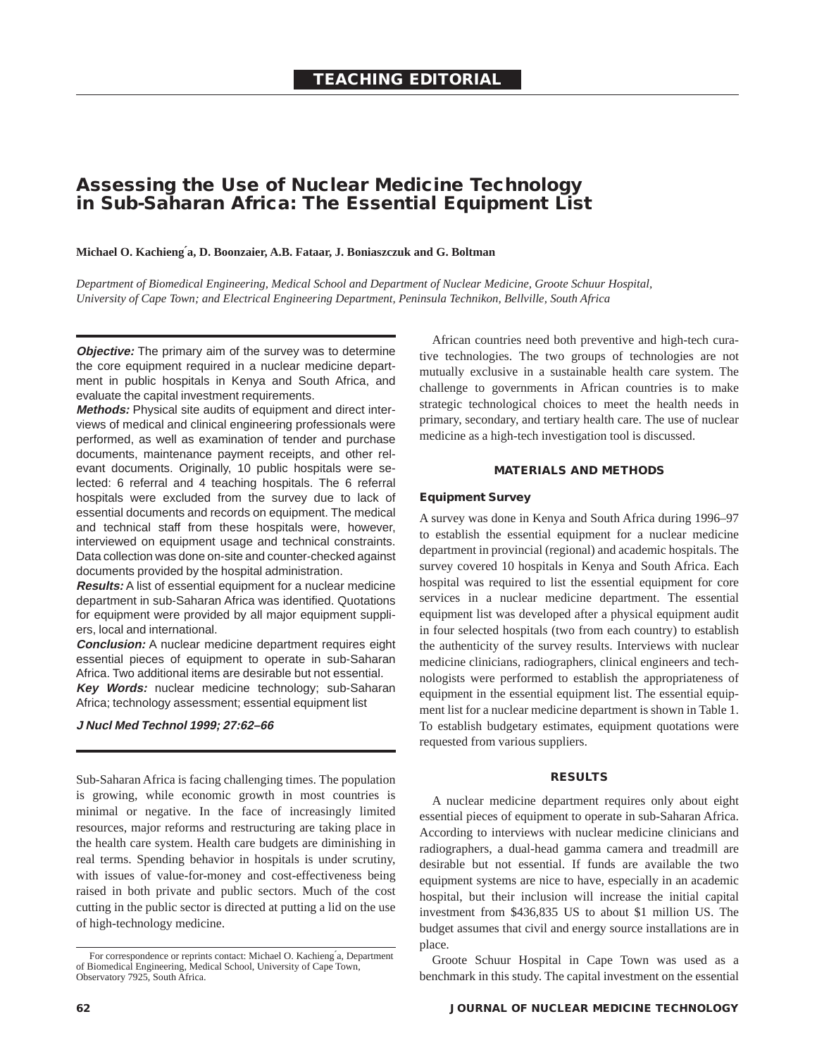# **Assessing the Use of Nuclear Medicine Technology in Sub-Saharan Africa: The Essential Equipment List**

#### **Michael O. Kachieng´a, D. Boonzaier, A.B. Fataar, J. Boniaszczuk and G. Boltman**

*Department of Biomedical Engineering, Medical School and Department of Nuclear Medicine, Groote Schuur Hospital, University of Cape Town; and Electrical Engineering Department, Peninsula Technikon, Bellville, South Africa*

**Objective:** The primary aim of the survey was to determine the core equipment required in a nuclear medicine department in public hospitals in Kenya and South Africa, and evaluate the capital investment requirements.

**Methods:** Physical site audits of equipment and direct interviews of medical and clinical engineering professionals were performed, as well as examination of tender and purchase documents, maintenance payment receipts, and other relevant documents. Originally, 10 public hospitals were selected: 6 referral and 4 teaching hospitals. The 6 referral hospitals were excluded from the survey due to lack of essential documents and records on equipment. The medical and technical staff from these hospitals were, however, interviewed on equipment usage and technical constraints. Data collection was done on-site and counter-checked against documents provided by the hospital administration.

**Results:** A list of essential equipment for a nuclear medicine department in sub-Saharan Africa was identified. Quotations for equipment were provided by all major equipment suppliers, local and international.

**Conclusion:** A nuclear medicine department requires eight essential pieces of equipment to operate in sub-Saharan Africa. Two additional items are desirable but not essential.

**Key Words:** nuclear medicine technology; sub-Saharan Africa; technology assessment; essential equipment list

# **J Nucl Med Technol 1999; 27:62–66**

Sub-Saharan Africa is facing challenging times. The population is growing, while economic growth in most countries is minimal or negative. In the face of increasingly limited resources, major reforms and restructuring are taking place in the health care system. Health care budgets are diminishing in real terms. Spending behavior in hospitals is under scrutiny, with issues of value-for-money and cost-effectiveness being raised in both private and public sectors. Much of the cost cutting in the public sector is directed at putting a lid on the use of high-technology medicine.

African countries need both preventive and high-tech curative technologies. The two groups of technologies are not mutually exclusive in a sustainable health care system. The challenge to governments in African countries is to make strategic technological choices to meet the health needs in primary, secondary, and tertiary health care. The use of nuclear medicine as a high-tech investigation tool is discussed.

# **MATERIALS AND METHODS**

## **Equipment Survey**

A survey was done in Kenya and South Africa during 1996–97 to establish the essential equipment for a nuclear medicine department in provincial (regional) and academic hospitals. The survey covered 10 hospitals in Kenya and South Africa. Each hospital was required to list the essential equipment for core services in a nuclear medicine department. The essential equipment list was developed after a physical equipment audit in four selected hospitals (two from each country) to establish the authenticity of the survey results. Interviews with nuclear medicine clinicians, radiographers, clinical engineers and technologists were performed to establish the appropriateness of equipment in the essential equipment list. The essential equipment list for a nuclear medicine department is shown in Table 1. To establish budgetary estimates, equipment quotations were requested from various suppliers.

#### **RESULTS**

A nuclear medicine department requires only about eight essential pieces of equipment to operate in sub-Saharan Africa. According to interviews with nuclear medicine clinicians and radiographers, a dual-head gamma camera and treadmill are desirable but not essential. If funds are available the two equipment systems are nice to have, especially in an academic hospital, but their inclusion will increase the initial capital investment from \$436,835 US to about \$1 million US. The budget assumes that civil and energy source installations are in place.

Groote Schuur Hospital in Cape Town was used as a benchmark in this study. The capital investment on the essential

For correspondence or reprints contact: Michael O. Kachieng´a, Department of Biomedical Engineering, Medical School, University of Cape Town, Observatory 7925, South Africa.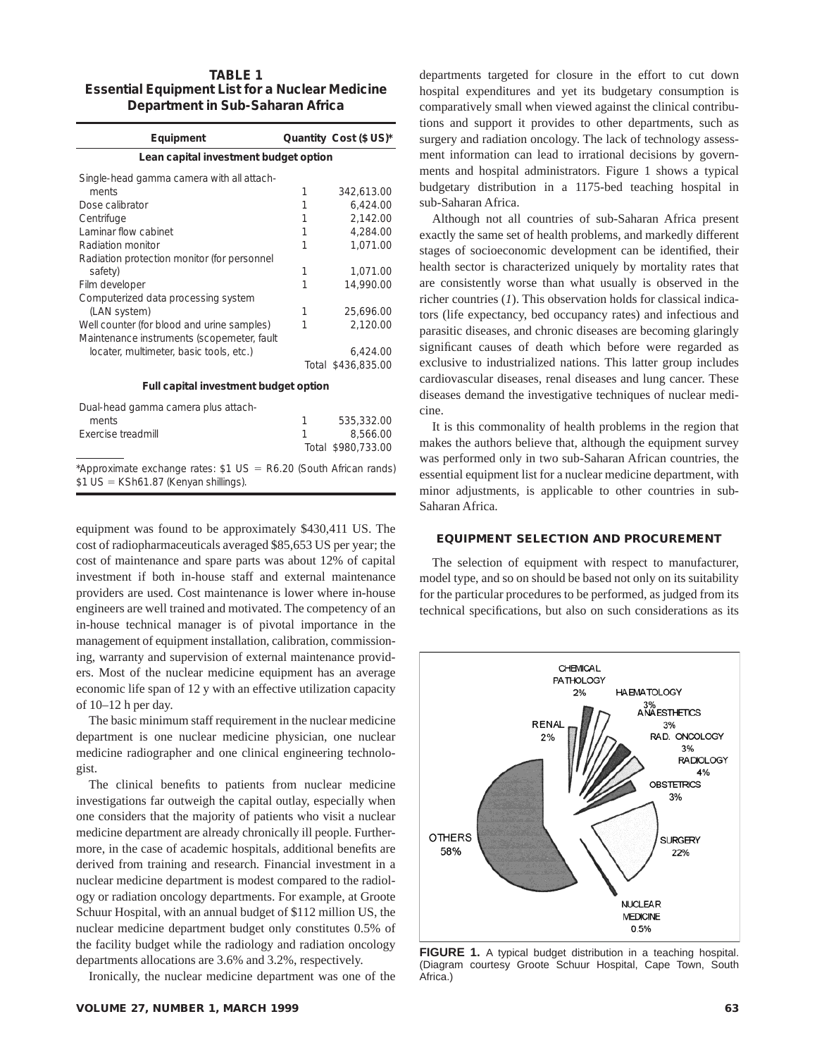# **TABLE 1 Essential Equipment List for a Nuclear Medicine Department in Sub-Saharan Africa**

| Equipment                                   |   | Quantity Cost (\$ US)* |  |
|---------------------------------------------|---|------------------------|--|
| Lean capital investment budget option       |   |                        |  |
| Single-head gamma camera with all attach-   |   |                        |  |
| ments                                       | 1 | 342.613.00             |  |
| Dose calibrator                             | 1 | 6,424.00               |  |
| Centrifuge                                  | 1 | 2,142.00               |  |
| Laminar flow cabinet                        | 1 | 4.284.00               |  |
| Radiation monitor                           | 1 | 1.071.00               |  |
| Radiation protection monitor (for personnel |   |                        |  |
| safety)                                     | 1 | 1,071.00               |  |
| Film developer                              | 1 | 14,990.00              |  |
| Computerized data processing system         |   |                        |  |
| (LAN system)                                | 1 | 25,696.00              |  |
| Well counter (for blood and urine samples)  | 1 | 2,120.00               |  |
| Maintenance instruments (scopemeter, fault  |   |                        |  |
| locater, multimeter, basic tools, etc.)     |   | 6,424.00               |  |
|                                             |   | Total \$436,835.00     |  |
| Full capital investment budget option       |   |                        |  |

| Dual-head gamma camera plus attach- |                    |
|-------------------------------------|--------------------|
| ments                               | 535,332.00         |
| Exercise treadmill                  | 8,566,00           |
|                                     | Total \$980,733,00 |
| $\sim$ $\sim$                       |                    |

\*Approximate exchange rates:  $$1 US = R6.20$  (South African rands)  $$1 US = KSh61.87$  (Kenyan shillings).

equipment was found to be approximately \$430,411 US. The cost of radiopharmaceuticals averaged \$85,653 US per year; the cost of maintenance and spare parts was about 12% of capital investment if both in-house staff and external maintenance providers are used. Cost maintenance is lower where in-house engineers are well trained and motivated. The competency of an in-house technical manager is of pivotal importance in the management of equipment installation, calibration, commissioning, warranty and supervision of external maintenance providers. Most of the nuclear medicine equipment has an average economic life span of 12 y with an effective utilization capacity of 10–12 h per day.

The basic minimum staff requirement in the nuclear medicine department is one nuclear medicine physician, one nuclear medicine radiographer and one clinical engineering technologist.

The clinical benefits to patients from nuclear medicine investigations far outweigh the capital outlay, especially when one considers that the majority of patients who visit a nuclear medicine department are already chronically ill people. Furthermore, in the case of academic hospitals, additional benefits are derived from training and research. Financial investment in a nuclear medicine department is modest compared to the radiology or radiation oncology departments. For example, at Groote Schuur Hospital, with an annual budget of \$112 million US, the nuclear medicine department budget only constitutes 0.5% of the facility budget while the radiology and radiation oncology departments allocations are 3.6% and 3.2%, respectively.

Ironically, the nuclear medicine department was one of the



**FIGURE 1.** A typical budget distribution in a teaching hospital. (Diagram courtesy Groote Schuur Hospital, Cape Town, South Africa.)

**VOLUME 27, NUMBER 1, MARCH 1999 63**

departments targeted for closure in the effort to cut down hospital expenditures and yet its budgetary consumption is comparatively small when viewed against the clinical contributions and support it provides to other departments, such as surgery and radiation oncology. The lack of technology assessment information can lead to irrational decisions by governments and hospital administrators. Figure 1 shows a typical budgetary distribution in a 1175-bed teaching hospital in sub-Saharan Africa.

Although not all countries of sub-Saharan Africa present exactly the same set of health problems, and markedly different stages of socioeconomic development can be identified, their health sector is characterized uniquely by mortality rates that are consistently worse than what usually is observed in the richer countries (*1*). This observation holds for classical indicators (life expectancy, bed occupancy rates) and infectious and parasitic diseases, and chronic diseases are becoming glaringly significant causes of death which before were regarded as exclusive to industrialized nations. This latter group includes cardiovascular diseases, renal diseases and lung cancer. These diseases demand the investigative techniques of nuclear medicine.

It is this commonality of health problems in the region that makes the authors believe that, although the equipment survey was performed only in two sub-Saharan African countries, the essential equipment list for a nuclear medicine department, with minor adjustments, is applicable to other countries in sub-Saharan Africa.

#### **EQUIPMENT SELECTION AND PROCUREMENT**

The selection of equipment with respect to manufacturer, model type, and so on should be based not only on its suitability for the particular procedures to be performed, as judged from its technical specifications, but also on such considerations as its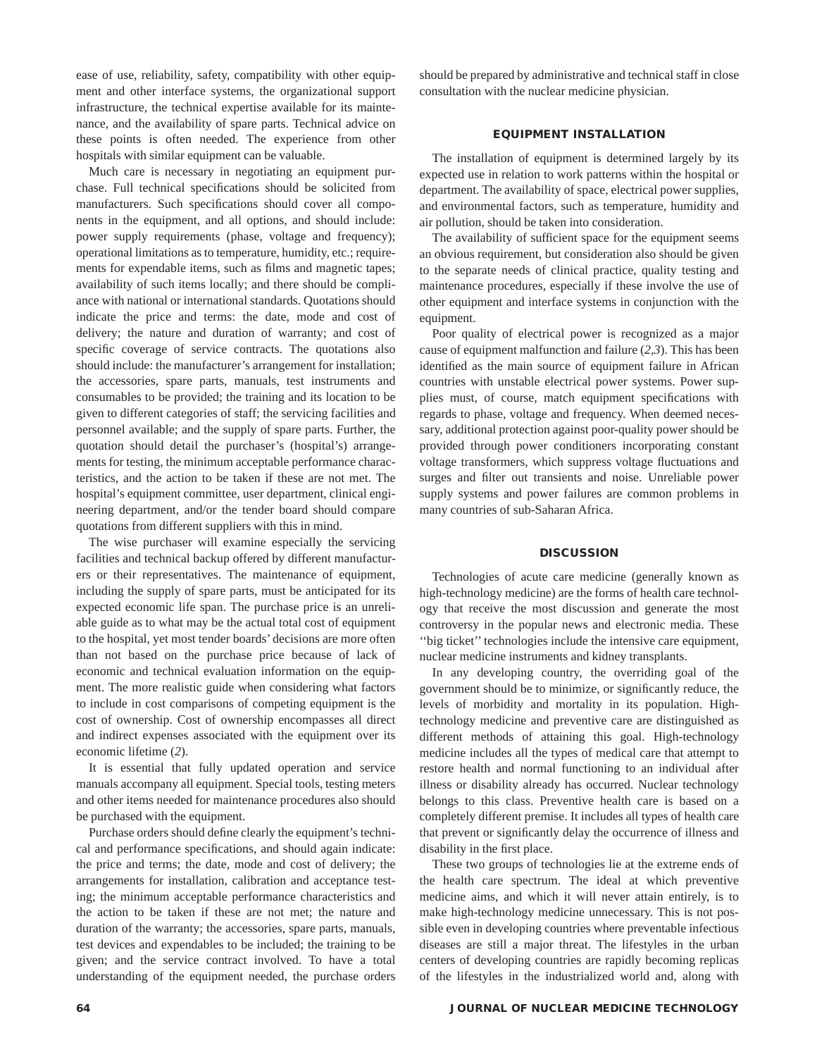ease of use, reliability, safety, compatibility with other equipment and other interface systems, the organizational support infrastructure, the technical expertise available for its maintenance, and the availability of spare parts. Technical advice on these points is often needed. The experience from other hospitals with similar equipment can be valuable.

Much care is necessary in negotiating an equipment purchase. Full technical specifications should be solicited from manufacturers. Such specifications should cover all components in the equipment, and all options, and should include: power supply requirements (phase, voltage and frequency); operational limitations as to temperature, humidity, etc.; requirements for expendable items, such as films and magnetic tapes; availability of such items locally; and there should be compliance with national or international standards. Quotations should indicate the price and terms: the date, mode and cost of delivery; the nature and duration of warranty; and cost of specific coverage of service contracts. The quotations also should include: the manufacturer's arrangement for installation; the accessories, spare parts, manuals, test instruments and consumables to be provided; the training and its location to be given to different categories of staff; the servicing facilities and personnel available; and the supply of spare parts. Further, the quotation should detail the purchaser's (hospital's) arrangements for testing, the minimum acceptable performance characteristics, and the action to be taken if these are not met. The hospital's equipment committee, user department, clinical engineering department, and/or the tender board should compare quotations from different suppliers with this in mind.

The wise purchaser will examine especially the servicing facilities and technical backup offered by different manufacturers or their representatives. The maintenance of equipment, including the supply of spare parts, must be anticipated for its expected economic life span. The purchase price is an unreliable guide as to what may be the actual total cost of equipment to the hospital, yet most tender boards' decisions are more often than not based on the purchase price because of lack of economic and technical evaluation information on the equipment. The more realistic guide when considering what factors to include in cost comparisons of competing equipment is the cost of ownership. Cost of ownership encompasses all direct and indirect expenses associated with the equipment over its economic lifetime (*2*).

It is essential that fully updated operation and service manuals accompany all equipment. Special tools, testing meters and other items needed for maintenance procedures also should be purchased with the equipment.

Purchase orders should define clearly the equipment's technical and performance specifications, and should again indicate: the price and terms; the date, mode and cost of delivery; the arrangements for installation, calibration and acceptance testing; the minimum acceptable performance characteristics and the action to be taken if these are not met; the nature and duration of the warranty; the accessories, spare parts, manuals, test devices and expendables to be included; the training to be given; and the service contract involved. To have a total understanding of the equipment needed, the purchase orders should be prepared by administrative and technical staff in close consultation with the nuclear medicine physician.

# **EQUIPMENT INSTALLATION**

The installation of equipment is determined largely by its expected use in relation to work patterns within the hospital or department. The availability of space, electrical power supplies, and environmental factors, such as temperature, humidity and air pollution, should be taken into consideration.

The availability of sufficient space for the equipment seems an obvious requirement, but consideration also should be given to the separate needs of clinical practice, quality testing and maintenance procedures, especially if these involve the use of other equipment and interface systems in conjunction with the equipment.

Poor quality of electrical power is recognized as a major cause of equipment malfunction and failure (*2,3*). This has been identified as the main source of equipment failure in African countries with unstable electrical power systems. Power supplies must, of course, match equipment specifications with regards to phase, voltage and frequency. When deemed necessary, additional protection against poor-quality power should be provided through power conditioners incorporating constant voltage transformers, which suppress voltage fluctuations and surges and filter out transients and noise. Unreliable power supply systems and power failures are common problems in many countries of sub-Saharan Africa.

#### **DISCUSSION**

Technologies of acute care medicine (generally known as high-technology medicine) are the forms of health care technology that receive the most discussion and generate the most controversy in the popular news and electronic media. These ''big ticket'' technologies include the intensive care equipment, nuclear medicine instruments and kidney transplants.

In any developing country, the overriding goal of the government should be to minimize, or significantly reduce, the levels of morbidity and mortality in its population. Hightechnology medicine and preventive care are distinguished as different methods of attaining this goal. High-technology medicine includes all the types of medical care that attempt to restore health and normal functioning to an individual after illness or disability already has occurred. Nuclear technology belongs to this class. Preventive health care is based on a completely different premise. It includes all types of health care that prevent or significantly delay the occurrence of illness and disability in the first place.

These two groups of technologies lie at the extreme ends of the health care spectrum. The ideal at which preventive medicine aims, and which it will never attain entirely, is to make high-technology medicine unnecessary. This is not possible even in developing countries where preventable infectious diseases are still a major threat. The lifestyles in the urban centers of developing countries are rapidly becoming replicas of the lifestyles in the industrialized world and, along with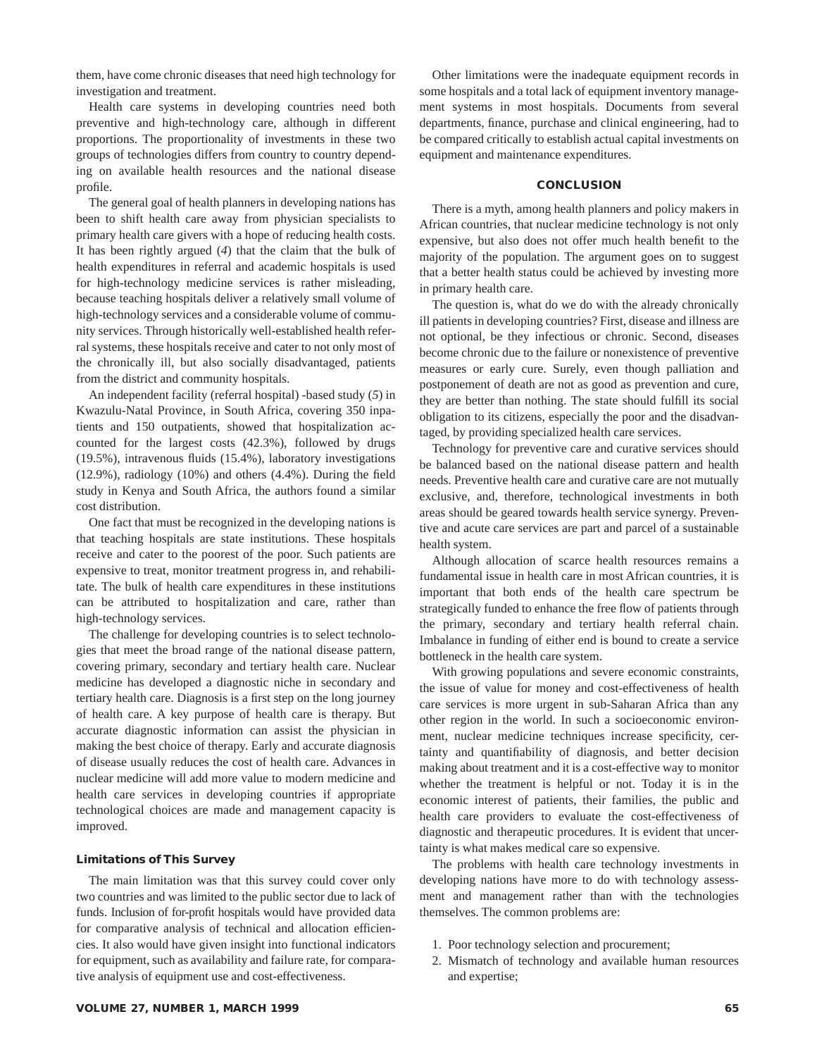them, have come chronic diseases that need high technology for investigation and treatment.

Health care systems in developing countries need both preventive and high-technology care, although in different proportions. The proportionality of investments in these two groups of technologies differs from country to country depending on available health resources and the national disease profile.

The general goal of health planners in developing nations has been to shift health care away from physician specialists to primary health care givers with a hope of reducing health costs. It has been rightly argued (*4*) that the claim that the bulk of health expenditures in referral and academic hospitals is used for high-technology medicine services is rather misleading, because teaching hospitals deliver a relatively small volume of high-technology services and a considerable volume of community services. Through historically well-established health referral systems, these hospitals receive and cater to not only most of the chronically ill, but also socially disadvantaged, patients from the district and community hospitals.

An independent facility (referral hospital) -based study (*5*) in Kwazulu-Natal Province, in South Africa, covering 350 inpatients and 150 outpatients, showed that hospitalization accounted for the largest costs (42.3%), followed by drugs (19.5%), intravenous fluids (15.4%), laboratory investigations (12.9%), radiology (10%) and others (4.4%). During the field study in Kenya and South Africa, the authors found a similar cost distribution.

One fact that must be recognized in the developing nations is that teaching hospitals are state institutions. These hospitals receive and cater to the poorest of the poor. Such patients are expensive to treat, monitor treatment progress in, and rehabilitate. The bulk of health care expenditures in these institutions can be attributed to hospitalization and care, rather than high-technology services.

The challenge for developing countries is to select technologies that meet the broad range of the national disease pattern, covering primary, secondary and tertiary health care. Nuclear medicine has developed a diagnostic niche in secondary and tertiary health care. Diagnosis is a first step on the long journey of health care. A key purpose of health care is therapy. But accurate diagnostic information can assist the physician in making the best choice of therapy. Early and accurate diagnosis of disease usually reduces the cost of health care. Advances in nuclear medicine will add more value to modern medicine and health care services in developing countries if appropriate technological choices are made and management capacity is improved.

### **Limitations of This Survey**

The main limitation was that this survey could cover only two countries and was limited to the public sector due to lack of funds. Inclusion of for-profit hospitals would have provided data for comparative analysis of technical and allocation efficiencies. It also would have given insight into functional indicators for equipment, such as availability and failure rate, for comparative analysis of equipment use and cost-effectiveness.

Other limitations were the inadequate equipment records in some hospitals and a total lack of equipment inventory management systems in most hospitals. Documents from several departments, finance, purchase and clinical engineering, had to be compared critically to establish actual capital investments on equipment and maintenance expenditures.

#### **CONCLUSION**

There is a myth, among health planners and policy makers in African countries, that nuclear medicine technology is not only expensive, but also does not offer much health benefit to the majority of the population. The argument goes on to suggest that a better health status could be achieved by investing more in primary health care.

The question is, what do we do with the already chronically ill patients in developing countries? First, disease and illness are not optional, be they infectious or chronic. Second, diseases become chronic due to the failure or nonexistence of preventive measures or early cure. Surely, even though palliation and postponement of death are not as good as prevention and cure, they are better than nothing. The state should fulfill its social obligation to its citizens, especially the poor and the disadvantaged, by providing specialized health care services.

Technology for preventive care and curative services should be balanced based on the national disease pattern and health needs. Preventive health care and curative care are not mutually exclusive, and, therefore, technological investments in both areas should be geared towards health service synergy. Preventive and acute care services are part and parcel of a sustainable health system.

Although allocation of scarce health resources remains a fundamental issue in health care in most African countries, it is important that both ends of the health care spectrum be strategically funded to enhance the free flow of patients through the primary, secondary and tertiary health referral chain. Imbalance in funding of either end is bound to create a service bottleneck in the health care system.

With growing populations and severe economic constraints, the issue of value for money and cost-effectiveness of health care services is more urgent in sub-Saharan Africa than any other region in the world. In such a socioeconomic environment, nuclear medicine techniques increase specificity, certainty and quantifiability of diagnosis, and better decision making about treatment and it is a cost-effective way to monitor whether the treatment is helpful or not. Today it is in the economic interest of patients, their families, the public and health care providers to evaluate the cost-effectiveness of diagnostic and therapeutic procedures. It is evident that uncertainty is what makes medical care so expensive.

The problems with health care technology investments in developing nations have more to do with technology assessment and management rather than with the technologies themselves. The common problems are:

- 1. Poor technology selection and procurement;
- 2. Mismatch of technology and available human resources and expertise;